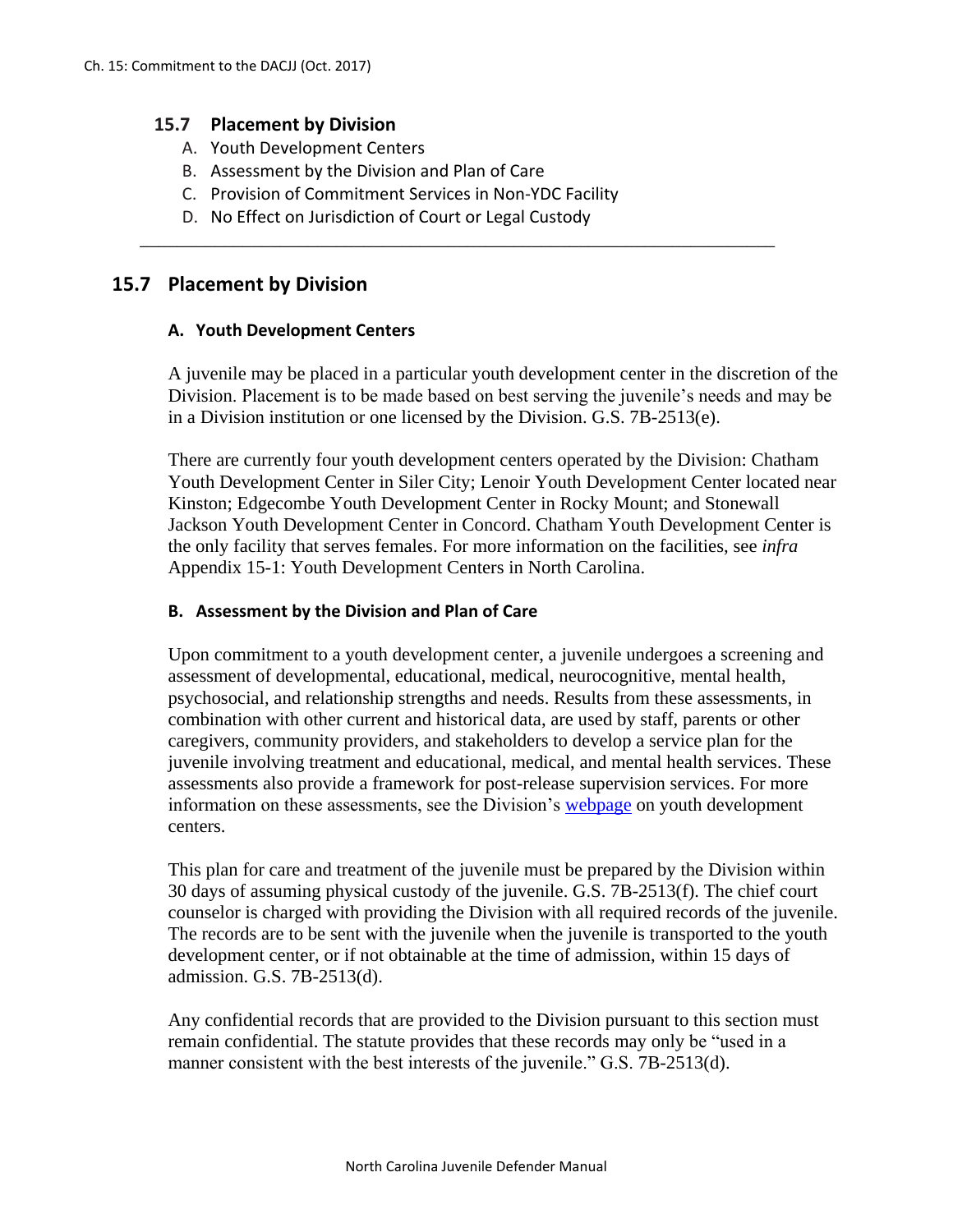## **15.7 Placement by Division**

- A. Youth Development Centers
- B. Assessment by the Division and Plan of Care
- C. Provision of Commitment Services in Non-YDC Facility

\_\_\_\_\_\_\_\_\_\_\_\_\_\_\_\_\_\_\_\_\_\_\_\_\_\_\_\_\_\_\_\_\_\_\_\_\_\_\_\_\_\_\_\_\_\_\_\_\_\_\_\_\_\_\_\_\_\_\_\_\_\_\_\_\_\_\_\_

D. No Effect on Jurisdiction of Court or Legal Custody

# **15.7 Placement by Division**

### **A. Youth Development Centers**

A juvenile may be placed in a particular youth development center in the discretion of the Division. Placement is to be made based on best serving the juvenile's needs and may be in a Division institution or one licensed by the Division. G.S. 7B-2513(e).

There are currently four youth development centers operated by the Division: Chatham Youth Development Center in Siler City; Lenoir Youth Development Center located near Kinston; Edgecombe Youth Development Center in Rocky Mount; and Stonewall Jackson Youth Development Center in Concord. Chatham Youth Development Center is the only facility that serves females. For more information on the facilities, see *infra* Appendix 15-1: Youth Development Centers in North Carolina.

### **B. Assessment by the Division and Plan of Care**

Upon commitment to a youth development center, a juvenile undergoes a screening and assessment of developmental, educational, medical, neurocognitive, mental health, psychosocial, and relationship strengths and needs. Results from these assessments, in combination with other current and historical data, are used by staff, parents or other caregivers, community providers, and stakeholders to develop a service plan for the juvenile involving treatment and educational, medical, and mental health services. These assessments also provide a framework for post-release supervision services. For more information on these assessments, see the Division's [webpage](https://www.ncdps.gov/Juvenile-Justice/Juvenile-Facility-Operations/Youth-Development-Centers) on youth development centers.

This plan for care and treatment of the juvenile must be prepared by the Division within 30 days of assuming physical custody of the juvenile. G.S. 7B-2513(f). The chief court counselor is charged with providing the Division with all required records of the juvenile. The records are to be sent with the juvenile when the juvenile is transported to the youth development center, or if not obtainable at the time of admission, within 15 days of admission. G.S. 7B-2513(d).

Any confidential records that are provided to the Division pursuant to this section must remain confidential. The statute provides that these records may only be "used in a manner consistent with the best interests of the juvenile." G.S. 7B-2513(d).